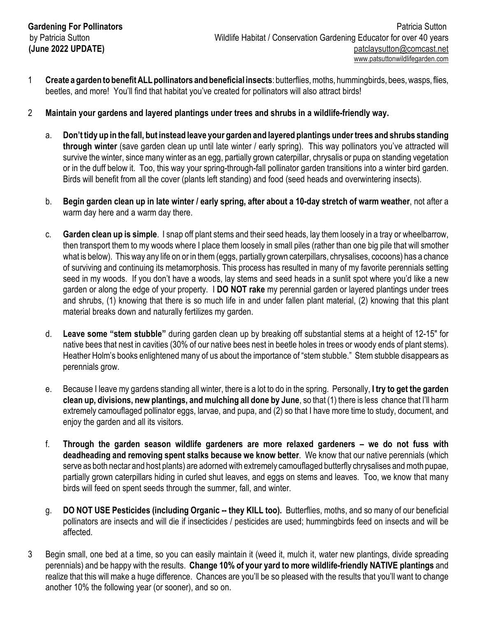- 1 **Create a garden to benefit ALL pollinators and beneficial insects**: butterflies, moths, hummingbirds, bees, wasps, flies, beetles, and more! You'll find that habitat you've created for pollinators will also attract birds!
- 2 **Maintain your gardens and layered plantings under trees and shrubs in a wildlife-friendly way.**
	- a. **Don't tidy up in the fall, but instead leave your garden and layered plantings under trees and shrubs standing through winter** (save garden clean up until late winter / early spring). This way pollinators you've attracted will survive the winter, since many winter as an egg, partially grown caterpillar, chrysalis or pupa on standing vegetation or in the duff below it. Too, this way your spring-through-fall pollinator garden transitions into a winter bird garden. Birds will benefit from all the cover (plants left standing) and food (seed heads and overwintering insects).
	- b. **Begin garden clean up in late winter / early spring, after about a 10-day stretch of warm weather**, not after a warm day here and a warm day there.
	- c. **Garden clean up is simple**. I snap off plant stems and their seed heads, lay them loosely in a tray or wheelbarrow, then transport them to my woods where I place them loosely in small piles (rather than one big pile that will smother what is below). This way any life on or in them (eggs, partially grown caterpillars, chrysalises, cocoons) has a chance of surviving and continuing its metamorphosis. This process has resulted in many of my favorite perennials setting seed in my woods. If you don't have a woods, lay stems and seed heads in a sunlit spot where you'd like a new garden or along the edge of your property. I **DO NOT rake** my perennial garden or layered plantings under trees and shrubs, (1) knowing that there is so much life in and under fallen plant material, (2) knowing that this plant material breaks down and naturally fertilizes my garden.
	- d. **Leave some "stem stubble"** during garden clean up by breaking off substantial stems at a height of 12-15" for native bees that nest in cavities (30% of our native bees nest in beetle holes in trees or woody ends of plant stems). Heather Holm's books enlightened many of us about the importance of "stem stubble." Stem stubble disappears as perennials grow.
	- e. Because I leave my gardens standing all winter, there is a lot to do in the spring. Personally, **I try to get the garden clean up, divisions, new plantings, and mulching all done by June**, so that (1) there is less chance that I'll harm extremely camouflaged pollinator eggs, larvae, and pupa, and (2) so that I have more time to study, document, and enjoy the garden and all its visitors.
	- f. **Through the garden season wildlife gardeners are more relaxed gardeners we do not fuss with deadheading and removing spent stalks because we know better**. We know that our native perennials (which serve as both nectar and host plants) are adorned with extremely camouflaged butterfly chrysalises and moth pupae, partially grown caterpillars hiding in curled shut leaves, and eggs on stems and leaves. Too, we know that many birds will feed on spent seeds through the summer, fall, and winter.
	- g. **DO NOT USE Pesticides (including Organic -- they KILL too).** Butterflies, moths, and so many of our beneficial pollinators are insects and will die if insecticides / pesticides are used; hummingbirds feed on insects and will be affected.
- 3 Begin small, one bed at a time, so you can easily maintain it (weed it, mulch it, water new plantings, divide spreading perennials) and be happy with the results. **Change 10% of your yard to more wildlife-friendly NATIVE plantings** and realize that this will make a huge difference. Chances are you'll be so pleased with the results that you'll want to change another 10% the following year (or sooner), and so on.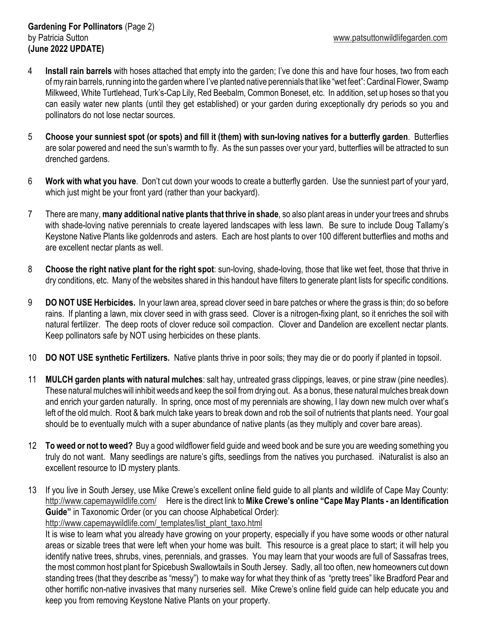- 4 **Install rain barrels** with hoses attached that empty into the garden; I've done this and have four hoses, two from each of my rain barrels, running into the garden where I've planted native perennials that like "wet feet": Cardinal Flower, Swamp Milkweed, White Turtlehead, Turk's-Cap Lily, Red Beebalm, Common Boneset, etc. In addition, set up hoses so that you can easily water new plants (until they get established) or your garden during exceptionally dry periods so you and pollinators do not lose nectar sources.
- 5 **Choose your sunniest spot (or spots) and fill it (them) with sun-loving natives for a butterfly garden**. Butterflies are solar powered and need the sun's warmth to fly. As the sun passes over your yard, butterflies will be attracted to sun drenched gardens.
- 6 **Work with what you have**. Don't cut down your woods to create a butterfly garden. Use the sunniest part of your yard, which just might be your front yard (rather than your backyard).
- 7 There are many, **many additional native plants that thrive in shade**, so also plant areas in under your trees and shrubs with shade-loving native perennials to create layered landscapes with less lawn. Be sure to include Doug Tallamy's Keystone Native Plants like goldenrods and asters. Each are host plants to over 100 different butterflies and moths and are excellent nectar plants as well.
- 8 **Choose the right native plant for the right spot**: sun-loving, shade-loving, those that like wet feet, those that thrive in dry conditions, etc. Many of the websites shared in this handout have filters to generate plant lists for specific conditions.
- 9 **DO NOT USE Herbicides.** In your lawn area, spread clover seed in bare patches or where the grass is thin; do so before rains. If planting a lawn, mix clover seed in with grass seed. Clover is a nitrogen-fixing plant, so it enriches the soil with natural fertilizer. The deep roots of clover reduce soil compaction. Clover and Dandelion are excellent nectar plants. Keep pollinators safe by NOT using herbicides on these plants.
- 10 **DO NOT USE synthetic Fertilizers.** Native plants thrive in poor soils; they may die or do poorly if planted in topsoil.
- 11 **MULCH garden plants with natural mulches**: salt hay, untreated grass clippings, leaves, or pine straw (pine needles). These natural mulches will inhibit weeds and keep the soil from drying out. As a bonus, these natural mulches break down and enrich your garden naturally. In spring, once most of my perennials are showing, I lay down new mulch over what's left of the old mulch. Root & bark mulch take years to break down and rob the soil of nutrients that plants need. Your goal should be to eventually mulch with a super abundance of native plants (as they multiply and cover bare areas).
- 12 **To weed or not to weed?** Buy a good wildflower field guide and weed book and be sure you are weeding something you truly do not want. Many seedlings are nature's gifts, seedlings from the natives you purchased. iNaturalist is also an excellent resource to ID mystery plants.
- 13 If you live in South Jersey, use Mike Crewe's excellent online field guide to all plants and wildlife of Cape May County: http://www.capemaywildlife.com/ Here is the direct link to **Mike Crewe's online "Cape May Plants - an Identification Guide"** in Taxonomic Order (or you can choose Alphabetical Order): http://www.capemaywildlife.com/\_templates/list\_plant\_taxo.html

It is wise to learn what you already have growing on your property, especially if you have some woods or other natural areas or sizable trees that were left when your home was built. This resource is a great place to start; it will help you identify native trees, shrubs, vines, perennials, and grasses. You may learn that your woods are full of Sassafras trees, the most common host plant for Spicebush Swallowtails in South Jersey. Sadly, all too often, new homeowners cut down standing trees (that they describe as "messy") to make way for what they think of as "pretty trees" like Bradford Pear and other horrific non-native invasives that many nurseries sell. Mike Crewe's online field guide can help educate you and keep you from removing Keystone Native Plants on your property.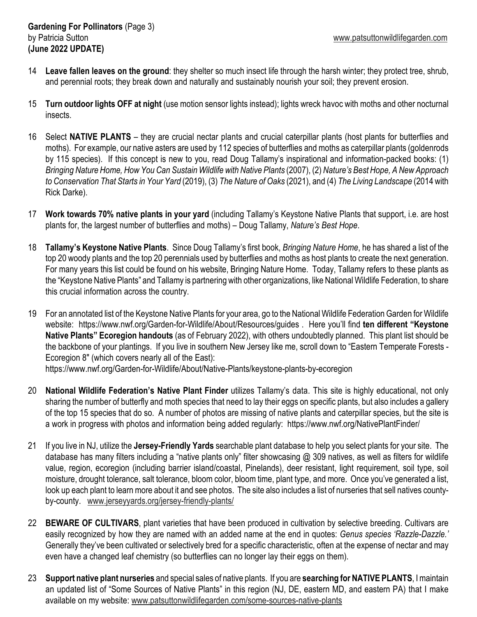- 14 **Leave fallen leaves on the ground**: they shelter so much insect life through the harsh winter; they protect tree, shrub, and perennial roots; they break down and naturally and sustainably nourish your soil; they prevent erosion.
- 15 **Turn outdoor lights OFF at night** (use motion sensor lights instead); lights wreck havoc with moths and other nocturnal insects.
- 16 Select **NATIVE PLANTS** they are crucial nectar plants and crucial caterpillar plants (host plants for butterflies and moths). For example, our native asters are used by 112 species of butterflies and moths as caterpillar plants (goldenrods by 115 species). If this concept is new to you, read Doug Tallamy's inspirational and information-packed books: (1) *Bringing Nature Home, How You Can Sustain Wildlife with Native Plants* (2007), (2) *Nature's Best Hope, A New Approach to Conservation That Starts in Your Yard* (2019), (3) *The Nature of Oaks* (2021), and (4) *The Living Landscape* (2014 with Rick Darke).
- 17 **Work towards 70% native plants in your yard** (including Tallamy's Keystone Native Plants that support, i.e. are host plants for, the largest number of butterflies and moths) – Doug Tallamy, *Nature's Best Hope*.
- 18 **Tallamy's Keystone Native Plants**. Since Doug Tallamy's first book, *Bringing Nature Home*, he has shared a list of the top 20 woody plants and the top 20 perennials used by butterflies and moths as host plants to create the next generation. For many years this list could be found on his website, Bringing Nature Home. Today, Tallamy refers to these plants as the "Keystone Native Plants" and Tallamy is partnering with other organizations, like National Wildlife Federation, to share this crucial information across the country.
- 19 For an annotated list of the Keystone Native Plants for your area, go to the National Wildlife Federation Garden for Wildlife website: https://www.nwf.org/Garden-for-Wildlife/About/Resources/guides . Here you'll find **ten different "Keystone Native Plants" Ecoregion handouts** (as of February 2022), with others undoubtedly planned. This plant list should be the backbone of your plantings. If you live in southern New Jersey like me, scroll down to "Eastern Temperate Forests - Ecoregion 8" (which covers nearly all of the East):

https://www.nwf.org/Garden-for-Wildlife/About/Native-Plants/keystone-plants-by-ecoregion

- 20 **National Wildlife Federation's Native Plant Finder** utilizes Tallamy's data. This site is highly educational, not only sharing the number of butterfly and moth species that need to lay their eggs on specific plants, but also includes a gallery of the top 15 species that do so. A number of photos are missing of native plants and caterpillar species, but the site is a work in progress with photos and information being added regularly: https://www.nwf.org/NativePlantFinder/
- 21 If you live in NJ, utilize the **Jersey-Friendly Yards** searchable plant database to help you select plants for your site. The database has many filters including a "native plants only" filter showcasing @ 309 natives, as well as filters for wildlife value, region, ecoregion (including barrier island/coastal, Pinelands), deer resistant, light requirement, soil type, soil moisture, drought tolerance, salt tolerance, bloom color, bloom time, plant type, and more. Once you've generated a list, look up each plant to learn more about it and see photos. The site also includes a list of nurseries that sell natives countyby-county. www.jerseyyards.org/jersey-friendly-plants/
- 22 **BEWARE OF CULTIVARS**, plant varieties that have been produced in cultivation by selective breeding. Cultivars are easily recognized by how they are named with an added name at the end in quotes: *Genus species 'Razzle-Dazzle.'* Generally they've been cultivated or selectively bred for a specific characteristic, often at the expense of nectar and may even have a changed leaf chemistry (so butterflies can no longer lay their eggs on them).
- 23 **Support native plant nurseries** and special sales of native plants. If you are **searching for NATIVE PLANTS**, I maintain an updated list of "Some Sources of Native Plants" in this region (NJ, DE, eastern MD, and eastern PA) that I make available on my website: www.patsuttonwildlifegarden.com/some-sources-native-plants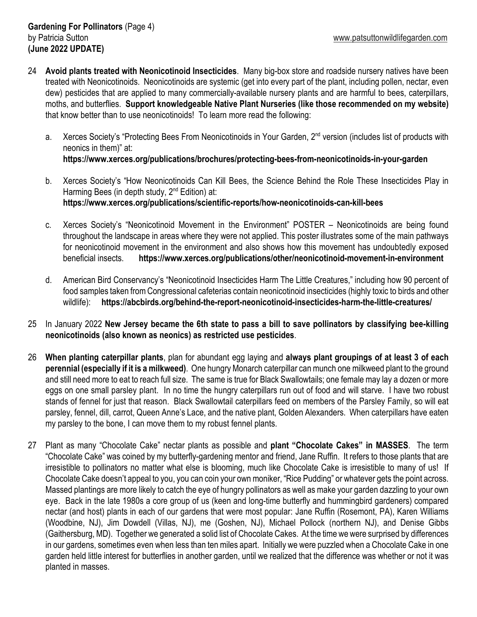- 24 **Avoid plants treated with Neonicotinoid Insecticides**. Many big-box store and roadside nursery natives have been treated with Neonicotinoids. Neonicotinoids are systemic (get into every part of the plant, including pollen, nectar, even dew) pesticides that are applied to many commercially-available nursery plants and are harmful to bees, caterpillars, moths, and butterflies. **Support knowledgeable Native Plant Nurseries (like those recommended on my website)** that know better than to use neonicotinoids! To learn more read the following:
	- a. Xerces Society's "Protecting Bees From Neonicotinoids in Your Garden, 2<sup>nd</sup> version (includes list of products with neonics in them)" at: **https://www.xerces.org/publications/brochures/protecting-bees-from-neonicotinoids-in-your-garden**
	- b. Xerces Society's "How Neonicotinoids Can Kill Bees, the Science Behind the Role These Insecticides Play in Harming Bees (in depth study, 2<sup>nd</sup> Edition) at: **https://www.xerces.org/publications/scientific-reports/how-neonicotinoids-can-kill-bees**
	- c. Xerces Society's "Neonicotinoid Movement in the Environment" POSTER Neonicotinoids are being found throughout the landscape in areas where they were not applied. This poster illustrates some of the main pathways for neonicotinoid movement in the environment and also shows how this movement has undoubtedly exposed beneficial insects. **https://www.xerces.org/publications/other/neonicotinoid-movement-in-environment**
	- d. American Bird Conservancy's "Neonicotinoid Insecticides Harm The Little Creatures," including how 90 percent of food samples taken from Congressional cafeterias contain neonicotinoid insecticides (highly toxic to birds and other wildlife): **https://abcbirds.org/behind-the-report-neonicotinoid-insecticides-harm-the-little-creatures/**
- 25 In January 2022 **New Jersey became the 6th state to pass a bill to save pollinators by classifying bee-killing neonicotinoids (also known as neonics) as restricted use pesticides**.
- 26 **When planting caterpillar plants**, plan for abundant egg laying and **always plant groupings of at least 3 of each perennial (especially if it is a milkweed)**. One hungry Monarch caterpillar can munch one milkweed plant to the ground and still need more to eat to reach full size. The same is true for Black Swallowtails; one female may lay a dozen or more eggs on one small parsley plant. In no time the hungry caterpillars run out of food and will starve. I have two robust stands of fennel for just that reason. Black Swallowtail caterpillars feed on members of the Parsley Family, so will eat parsley, fennel, dill, carrot, Queen Anne's Lace, and the native plant, Golden Alexanders. When caterpillars have eaten my parsley to the bone, I can move them to my robust fennel plants.
- 27 Plant as many "Chocolate Cake" nectar plants as possible and **plant "Chocolate Cakes" in MASSES**. The term "Chocolate Cake" was coined by my butterfly-gardening mentor and friend, Jane Ruffin. It refers to those plants that are irresistible to pollinators no matter what else is blooming, much like Chocolate Cake is irresistible to many of us! If Chocolate Cake doesn't appeal to you, you can coin your own moniker, "Rice Pudding" or whatever gets the point across. Massed plantings are more likely to catch the eye of hungry pollinators as well as make your garden dazzling to your own eye. Back in the late 1980s a core group of us (keen and long-time butterfly and hummingbird gardeners) compared nectar (and host) plants in each of our gardens that were most popular: Jane Ruffin (Rosemont, PA), Karen Williams (Woodbine, NJ), Jim Dowdell (Villas, NJ), me (Goshen, NJ), Michael Pollock (northern NJ), and Denise Gibbs (Gaithersburg, MD). Together we generated a solid list of Chocolate Cakes. At the time we were surprised by differences in our gardens, sometimes even when less than ten miles apart. Initially we were puzzled when a Chocolate Cake in one garden held little interest for butterflies in another garden, until we realized that the difference was whether or not it was planted in masses.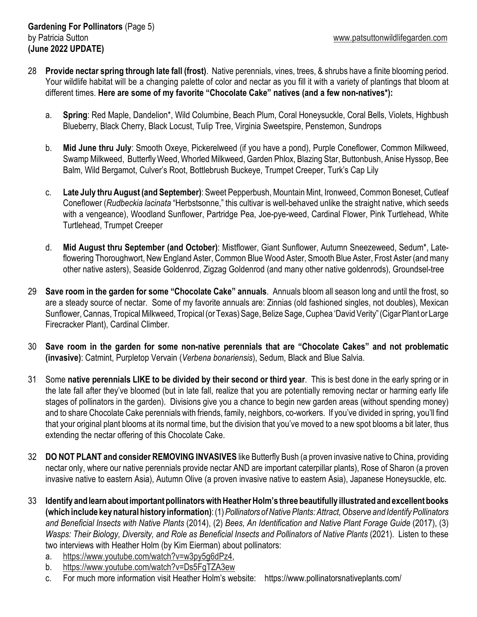- 28 **Provide nectar spring through late fall (frost)**. Native perennials, vines, trees, & shrubs have a finite blooming period. Your wildlife habitat will be a changing palette of color and nectar as you fill it with a variety of plantings that bloom at different times. **Here are some of my favorite "Chocolate Cake" natives (and a few non-natives\*):**
	- a. **Spring**: Red Maple, Dandelion\*, Wild Columbine, Beach Plum, Coral Honeysuckle, Coral Bells, Violets, Highbush Blueberry, Black Cherry, Black Locust, Tulip Tree, Virginia Sweetspire, Penstemon, Sundrops
	- b. **Mid June thru July**: Smooth Oxeye, Pickerelweed (if you have a pond), Purple Coneflower, Common Milkweed, Swamp Milkweed, Butterfly Weed, Whorled Milkweed, Garden Phlox, Blazing Star, Buttonbush, Anise Hyssop, Bee Balm, Wild Bergamot, Culver's Root, Bottlebrush Buckeye, Trumpet Creeper, Turk's Cap Lily
	- c. **Late July thru August (and September)**: Sweet Pepperbush, Mountain Mint, Ironweed, Common Boneset, Cutleaf Coneflower (*Rudbeckia lacinata* "Herbstsonne," this cultivar is well-behaved unlike the straight native, which seeds with a vengeance), Woodland Sunflower, Partridge Pea, Joe-pye-weed, Cardinal Flower, Pink Turtlehead, White Turtlehead, Trumpet Creeper
	- d. **Mid August thru September (and October)**: Mistflower, Giant Sunflower, Autumn Sneezeweed, Sedum\*, Lateflowering Thoroughwort, New England Aster, Common Blue Wood Aster, Smooth Blue Aster, Frost Aster (and many other native asters), Seaside Goldenrod, Zigzag Goldenrod (and many other native goldenrods), Groundsel-tree
- 29 **Save room in the garden for some "Chocolate Cake" annuals**. Annuals bloom all season long and until the frost, so are a steady source of nectar. Some of my favorite annuals are: Zinnias (old fashioned singles, not doubles), Mexican Sunflower, Cannas, Tropical Milkweed, Tropical (or Texas) Sage, Belize Sage, Cuphea 'David Verity" (Cigar Plant or Large Firecracker Plant), Cardinal Climber.
- 30 **Save room in the garden for some non-native perennials that are "Chocolate Cakes" and not problematic (invasive)**: Catmint, Purpletop Vervain (*Verbena bonariensis*), Sedum, Black and Blue Salvia.
- 31 Some **native perennials LIKE to be divided by their second or third year**. This is best done in the early spring or in the late fall after they've bloomed (but in late fall, realize that you are potentially removing nectar or harming early life stages of pollinators in the garden). Divisions give you a chance to begin new garden areas (without spending money) and to share Chocolate Cake perennials with friends, family, neighbors, co-workers. If you've divided in spring, you'll find that your original plant blooms at its normal time, but the division that you've moved to a new spot blooms a bit later, thus extending the nectar offering of this Chocolate Cake.
- 32 **DO NOT PLANT and consider REMOVING INVASIVES** like Butterfly Bush (a proven invasive native to China, providing nectar only, where our native perennials provide nectar AND are important caterpillar plants), Rose of Sharon (a proven invasive native to eastern Asia), Autumn Olive (a proven invasive native to eastern Asia), Japanese Honeysuckle, etc.
- 33 **Identify and learn about important pollinators with Heather Holm's three beautifully illustrated and excellent books (which include key natural history information)**: (1) *Pollinators of Native Plants: Attract, Observe and Identify Pollinators and Beneficial Insects with Native Plants* (2014), (2) *Bees, An Identification and Native Plant Forage Guide* (2017), (3) *Wasps: Their Biology, Diversity, and Role as Beneficial Insects and Pollinators of Native Plants (2021). Listen to these* two interviews with Heather Holm (by Kim Eierman) about pollinators:
	- a. https://www.youtube.com/watch?v=w3py5g6dPz4,
	- b. https://www.youtube.com/watch?v=Ds5FgTZA3ew
	- c. For much more information visit Heather Holm's website: https://www.pollinatorsnativeplants.com/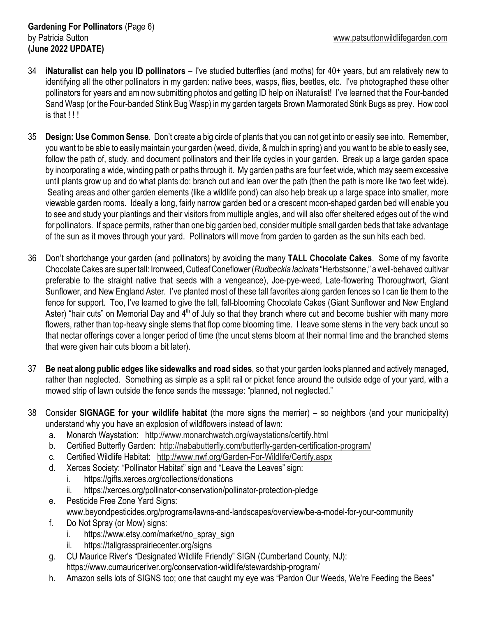- 34 **iNaturalist can help you ID pollinators**  I've studied butterflies (and moths) for 40+ years, but am relatively new to identifying all the other pollinators in my garden: native bees, wasps, flies, beetles, etc. I've photographed these other pollinators for years and am now submitting photos and getting ID help on iNaturalist! I've learned that the Four-banded Sand Wasp (or the Four-banded Stink Bug Wasp) in my garden targets Brown Marmorated Stink Bugs as prey. How cool is that !!!
- 35 **Design: Use Common Sense**. Don't create a big circle of plants that you can not get into or easily see into. Remember, you want to be able to easily maintain your garden (weed, divide, & mulch in spring) and you want to be able to easily see, follow the path of, study, and document pollinators and their life cycles in your garden. Break up a large garden space by incorporating a wide, winding path or paths through it. My garden paths are four feet wide, which may seem excessive until plants grow up and do what plants do: branch out and lean over the path (then the path is more like two feet wide). Seating areas and other garden elements (like a wildlife pond) can also help break up a large space into smaller, more viewable garden rooms. Ideally a long, fairly narrow garden bed or a crescent moon-shaped garden bed will enable you to see and study your plantings and their visitors from multiple angles, and will also offer sheltered edges out of the wind for pollinators. If space permits, rather than one big garden bed, consider multiple small garden beds that take advantage of the sun as it moves through your yard. Pollinators will move from garden to garden as the sun hits each bed.
- 36 Don't shortchange your garden (and pollinators) by avoiding the many **TALL Chocolate Cakes**. Some of my favorite Chocolate Cakes are super tall: Ironweed, Cutleaf Coneflower (*Rudbeckia lacinata* "Herbstsonne," a well-behaved cultivar preferable to the straight native that seeds with a vengeance), Joe-pye-weed, Late-flowering Thoroughwort, Giant Sunflower, and New England Aster. I've planted most of these tall favorites along garden fences so I can tie them to the fence for support. Too, I've learned to give the tall, fall-blooming Chocolate Cakes (Giant Sunflower and New England Aster) "hair cuts" on Memorial Day and  $4<sup>th</sup>$  of July so that they branch where cut and become bushier with many more flowers, rather than top-heavy single stems that flop come blooming time. I leave some stems in the very back uncut so that nectar offerings cover a longer period of time (the uncut stems bloom at their normal time and the branched stems that were given hair cuts bloom a bit later).
- 37 **Be neat along public edges like sidewalks and road sides**, so that your garden looks planned and actively managed, rather than neglected. Something as simple as a split rail or picket fence around the outside edge of your yard, with a mowed strip of lawn outside the fence sends the message: "planned, not neglected."
- 38 Consider **SIGNAGE for your wildlife habitat** (the more signs the merrier) so neighbors (and your municipality) understand why you have an explosion of wildflowers instead of lawn:
	- a. Monarch Waystation: http://www.monarchwatch.org/waystations/certify.html
	- b. Certified Butterfly Garden: http://nababutterfly.com/butterfly-garden-certification-program/
	- c. Certified Wildlife Habitat: http://www.nwf.org/Garden-For-Wildlife/Certify.aspx
	- d. Xerces Society: "Pollinator Habitat" sign and "Leave the Leaves" sign:
		- i. https://gifts.xerces.org/collections/donations
		- ii. https://xerces.org/pollinator-conservation/pollinator-protection-pledge
	- e. Pesticide Free Zone Yard Signs:
		- www.beyondpesticides.org/programs/lawns-and-landscapes/overview/be-a-model-for-your-community
	- f. Do Not Spray (or Mow) signs:
		- i. https://www.etsy.com/market/no\_spray\_sign
		- ii. https://tallgrassprairiecenter.org/signs
	- g. CU Maurice River's "Designated Wildlife Friendly" SIGN (Cumberland County, NJ): https://www.cumauriceriver.org/conservation-wildlife/stewardship-program/
	- h. Amazon sells lots of SIGNS too; one that caught my eye was "Pardon Our Weeds, We're Feeding the Bees"